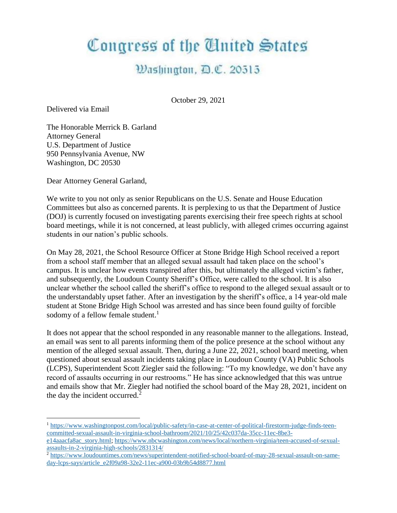## Congress of the United States

## Washington, D.C. 20515

October 29, 2021

Delivered via Email

 $\overline{a}$ 

The Honorable Merrick B. Garland Attorney General U.S. Department of Justice 950 Pennsylvania Avenue, NW Washington, DC 20530

Dear Attorney General Garland,

We write to you not only as senior Republicans on the U.S. Senate and House Education Committees but also as concerned parents. It is perplexing to us that the Department of Justice (DOJ) is currently focused on investigating parents exercising their free speech rights at school board meetings, while it is not concerned, at least publicly, with alleged crimes occurring against students in our nation's public schools.

On May 28, 2021, the School Resource Officer at Stone Bridge High School received a report from a school staff member that an alleged sexual assault had taken place on the school's campus. It is unclear how events transpired after this, but ultimately the alleged victim's father, and subsequently, the Loudoun County Sheriff's Office, were called to the school. It is also unclear whether the school called the sheriff's office to respond to the alleged sexual assault or to the understandably upset father. After an investigation by the sheriff's office, a 14 year-old male student at Stone Bridge High School was arrested and has since been found guilty of forcible sodomy of a fellow female student.<sup>1</sup>

It does not appear that the school responded in any reasonable manner to the allegations. Instead, an email was sent to all parents informing them of the police presence at the school without any mention of the alleged sexual assault. Then, during a June 22, 2021, school board meeting, when questioned about sexual assault incidents taking place in Loudoun County (VA) Public Schools (LCPS), Superintendent Scott Ziegler said the following: "To my knowledge, we don't have any record of assaults occurring in our restrooms." He has since acknowledged that this was untrue and emails show that Mr. Ziegler had notified the school board of the May 28, 2021, incident on the day the incident occurred.<sup>2</sup>

<sup>1</sup> [https://www.washingtonpost.com/local/public-safety/in-case-at-center-of-political-firestorm-judge-finds-teen](https://www.washingtonpost.com/local/public-safety/in-case-at-center-of-political-firestorm-judge-finds-teen-committed-sexual-assault-in-virginia-school-bathroom/2021/10/25/42c037da-35cc-11ec-8be3-e14aaacfa8ac_story.html)[committed-sexual-assault-in-virginia-school-bathroom/2021/10/25/42c037da-35cc-11ec-8be3-](https://www.washingtonpost.com/local/public-safety/in-case-at-center-of-political-firestorm-judge-finds-teen-committed-sexual-assault-in-virginia-school-bathroom/2021/10/25/42c037da-35cc-11ec-8be3-e14aaacfa8ac_story.html)

[e14aaacfa8ac\\_story.html;](https://www.washingtonpost.com/local/public-safety/in-case-at-center-of-political-firestorm-judge-finds-teen-committed-sexual-assault-in-virginia-school-bathroom/2021/10/25/42c037da-35cc-11ec-8be3-e14aaacfa8ac_story.html) [https://www.nbcwashington.com/news/local/northern-virginia/teen-accused-of-sexual](https://www.nbcwashington.com/news/local/northern-virginia/teen-accused-of-sexual-assaults-in-2-virginia-high-schools/2831314/)[assaults-in-2-virginia-high-schools/2831314/](https://www.nbcwashington.com/news/local/northern-virginia/teen-accused-of-sexual-assaults-in-2-virginia-high-schools/2831314/)

<sup>2</sup> [https://www.loudountimes.com/news/superintendent-notified-school-board-of-may-28-sexual-assault-on-same](https://www.loudountimes.com/news/superintendent-notified-school-board-of-may-28-sexual-assault-on-same-day-lcps-says/article_e2f09a98-32e2-11ec-a900-03b9b54d8877.html)[day-lcps-says/article\\_e2f09a98-32e2-11ec-a900-03b9b54d8877.html](https://www.loudountimes.com/news/superintendent-notified-school-board-of-may-28-sexual-assault-on-same-day-lcps-says/article_e2f09a98-32e2-11ec-a900-03b9b54d8877.html)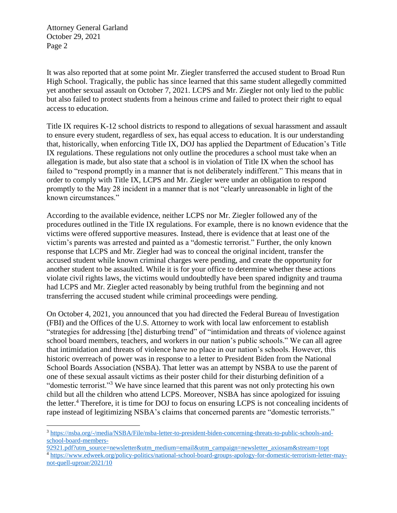Attorney General Garland October 29, 2021 Page 2

 $\overline{a}$ 

It was also reported that at some point Mr. Ziegler transferred the accused student to Broad Run High School. Tragically, the public has since learned that this same student allegedly committed yet another sexual assault on October 7, 2021. LCPS and Mr. Ziegler not only lied to the public but also failed to protect students from a heinous crime and failed to protect their right to equal access to education.

Title IX requires K-12 school districts to respond to allegations of sexual harassment and assault to ensure every student, regardless of sex, has equal access to education. It is our understanding that, historically, when enforcing Title IX, DOJ has applied the Department of Education's Title IX regulations. These regulations not only outline the procedures a school must take when an allegation is made, but also state that a school is in violation of Title IX when the school has failed to "respond promptly in a manner that is not deliberately indifferent." This means that in order to comply with Title IX, LCPS and Mr. Ziegler were under an obligation to respond promptly to the May 28 incident in a manner that is not "clearly unreasonable in light of the known circumstances."

According to the available evidence, neither LCPS nor Mr. Ziegler followed any of the procedures outlined in the Title IX regulations. For example, there is no known evidence that the victims were offered supportive measures. Instead, there is evidence that at least one of the victim's parents was arrested and painted as a "domestic terrorist." Further, the only known response that LCPS and Mr. Ziegler had was to conceal the original incident, transfer the accused student while known criminal charges were pending, and create the opportunity for another student to be assaulted. While it is for your office to determine whether these actions violate civil rights laws, the victims would undoubtedly have been spared indignity and trauma had LCPS and Mr. Ziegler acted reasonably by being truthful from the beginning and not transferring the accused student while criminal proceedings were pending.

On October 4, 2021, you announced that you had directed the Federal Bureau of Investigation (FBI) and the Offices of the U.S. Attorney to work with local law enforcement to establish "strategies for addressing [the] disturbing trend" of "intimidation and threats of violence against school board members, teachers, and workers in our nation's public schools." We can all agree that intimidation and threats of violence have no place in our nation's schools. However, this historic overreach of power was in response to a letter to President Biden from the National School Boards Association (NSBA). That letter was an attempt by NSBA to use the parent of one of these sexual assault victims as their poster child for their disturbing definition of a "domestic terrorist."<sup>3</sup> We have since learned that this parent was not only protecting his own child but all the children who attend LCPS. Moreover, NSBA has since apologized for issuing the letter.<sup>4</sup> Therefore, it is time for DOJ to focus on ensuring LCPS is not concealing incidents of rape instead of legitimizing NSBA's claims that concerned parents are "domestic terrorists."

<sup>3</sup> [https://nsba.org/-/media/NSBA/File/nsba-letter-to-president-biden-concerning-threats-to-public-schools-and](https://nsba.org/-/media/NSBA/File/nsba-letter-to-president-biden-concerning-threats-to-public-schools-and-school-board-members-92921.pdf?utm_source=newsletter&utm_medium=email&utm_campaign=newsletter_axiosam&stream=topt)[school-board-members-](https://nsba.org/-/media/NSBA/File/nsba-letter-to-president-biden-concerning-threats-to-public-schools-and-school-board-members-92921.pdf?utm_source=newsletter&utm_medium=email&utm_campaign=newsletter_axiosam&stream=topt)

[<sup>92921.</sup>pdf?utm\\_source=newsletter&utm\\_medium=email&utm\\_campaign=newsletter\\_axiosam&stream=topt](https://nsba.org/-/media/NSBA/File/nsba-letter-to-president-biden-concerning-threats-to-public-schools-and-school-board-members-92921.pdf?utm_source=newsletter&utm_medium=email&utm_campaign=newsletter_axiosam&stream=topt) <sup>4</sup> [https://www.edweek.org/policy-politics/national-school-board-groups-apology-for-domestic-terrorism-letter-may](https://www.edweek.org/policy-politics/national-school-board-groups-apology-for-domestic-terrorism-letter-may-not-quell-uproar/2021/10)[not-quell-uproar/2021/10](https://www.edweek.org/policy-politics/national-school-board-groups-apology-for-domestic-terrorism-letter-may-not-quell-uproar/2021/10)